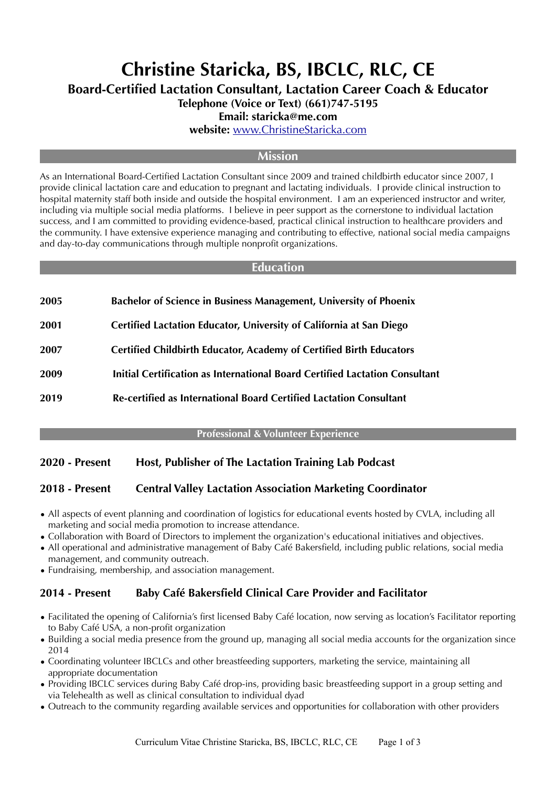# **Christine Staricka, BS, IBCLC, RLC, CE**

**Board-Certified Lactation Consultant, Lactation Career Coach & Educator**

**Telephone (Voice or Text) (661)747-5195**

#### **Email: staricka@me.com**

**website:** [www.ChristineStaricka.com](http://www.ChristineStaricka.com)

#### **Mission**

As an International Board-Certified Lactation Consultant since 2009 and trained childbirth educator since 2007, I provide clinical lactation care and education to pregnant and lactating individuals. I provide clinical instruction to hospital maternity staff both inside and outside the hospital environment. I am an experienced instructor and writer, including via multiple social media platforms. I believe in peer support as the cornerstone to individual lactation success, and I am committed to providing evidence-based, practical clinical instruction to healthcare providers and the community. I have extensive experience managing and contributing to effective, national social media campaigns and day-to-day communications through multiple nonprofit organizations.

#### **Education**

**2001 Certified Lactation Educator, University of California at San Diego**

- **2007 Certified Childbirth Educator, Academy of Certified Birth Educators**
- **2009 Initial Certification as International Board Certified Lactation Consultant**
- **2019 Re-certified as International Board Certified Lactation Consultant**

#### **Professional & Volunteer Experience**

# **2020 - Present Host, Publisher of The Lactation Training Lab Podcast**

#### **2018 - Present Central Valley Lactation Association Marketing Coordinator**

- All aspects of event planning and coordination of logistics for educational events hosted by CVLA, including all marketing and social media promotion to increase attendance.
- Collaboration with Board of Directors to implement the organization's educational initiatives and objectives.
- All operational and administrative management of Baby Café Bakersfield, including public relations, social media management, and community outreach.
- Fundraising, membership, and association management.

#### **2014 - Present Baby Café Bakersfield Clinical Care Provider and Facilitator**

- Facilitated the opening of California's first licensed Baby Café location, now serving as location's Facilitator reporting to Baby Café USA, a non-profit organization
- Building a social media presence from the ground up, managing all social media accounts for the organization since 2014
- Coordinating volunteer IBCLCs and other breastfeeding supporters, marketing the service, maintaining all appropriate documentation
- Providing IBCLC services during Baby Café drop-ins, providing basic breastfeeding support in a group setting and via Telehealth as well as clinical consultation to individual dyad
- Outreach to the community regarding available services and opportunities for collaboration with other providers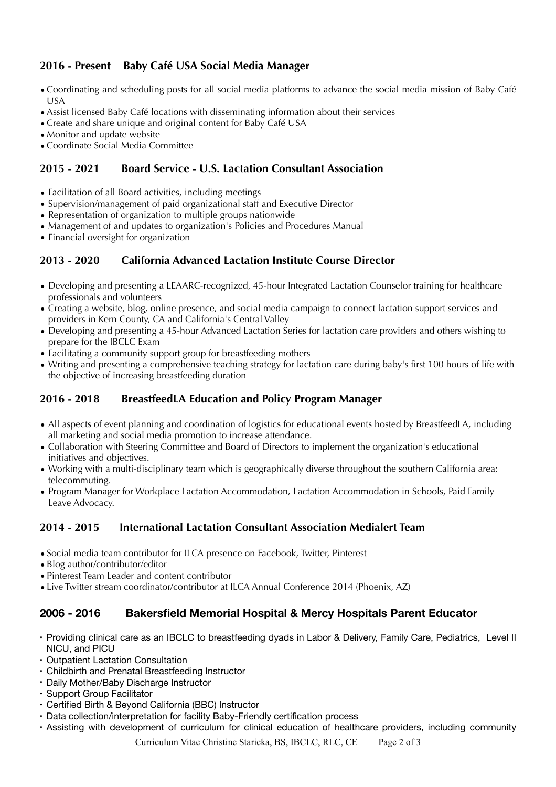# **2016 - Present Baby Café USA Social Media Manager**

- •Coordinating and scheduling posts for all social media platforms to advance the social media mission of Baby Café USA
- •Assist licensed Baby Café locations with disseminating information about their services
- •Create and share unique and original content for Baby Café USA
- •Monitor and update website
- •Coordinate Social Media Committee

## **2015 - 2021 Board Service - U.S. Lactation Consultant Association**

- Facilitation of all Board activities, including meetings
- Supervision/management of paid organizational staff and Executive Director
- Representation of organization to multiple groups nationwide
- Management of and updates to organization's Policies and Procedures Manual
- Financial oversight for organization

# **2013 - 2020 California Advanced Lactation Institute Course Director**

- Developing and presenting a LEAARC-recognized, 45-hour Integrated Lactation Counselor training for healthcare professionals and volunteers
- Creating a website, blog, online presence, and social media campaign to connect lactation support services and providers in Kern County, CA and California's Central Valley
- Developing and presenting a 45-hour Advanced Lactation Series for lactation care providers and others wishing to prepare for the IBCLC Exam
- Facilitating a community support group for breastfeeding mothers
- Writing and presenting a comprehensive teaching strategy for lactation care during baby's first 100 hours of life with the objective of increasing breastfeeding duration

# **2016 - 2018 BreastfeedLA Education and Policy Program Manager**

- All aspects of event planning and coordination of logistics for educational events hosted by BreastfeedLA, including all marketing and social media promotion to increase attendance.
- Collaboration with Steering Committee and Board of Directors to implement the organization's educational initiatives and objectives.
- Working with a multi-disciplinary team which is geographically diverse throughout the southern California area; telecommuting.
- Program Manager for Workplace Lactation Accommodation, Lactation Accommodation in Schools, Paid Family Leave Advocacy.

# **2014 - 2015 International Lactation Consultant Association Medialert Team**

- •Social media team contributor for ILCA presence on Facebook, Twitter, Pinterest
- •Blog author/contributor/editor
- •Pinterest Team Leader and content contributor
- •Live Twitter stream coordinator/contributor at ILCA Annual Conference 2014 (Phoenix, AZ)

# **2006 - 2016 Bakersfield Memorial Hospital & Mercy Hospitals Parent Educator**

- Providing clinical care as an IBCLC to breastfeeding dyads in Labor & Delivery, Family Care, Pediatrics, Level II NICU, and PICU
- Outpatient Lactation Consultation
- Childbirth and Prenatal Breastfeeding Instructor
- Daily Mother/Baby Discharge Instructor
- Support Group Facilitator
- Certified Birth & Beyond California (BBC) Instructor
- Data collection/interpretation for facility Baby-Friendly certification process
- Assisting with development of curriculum for clinical education of healthcare providers, including community